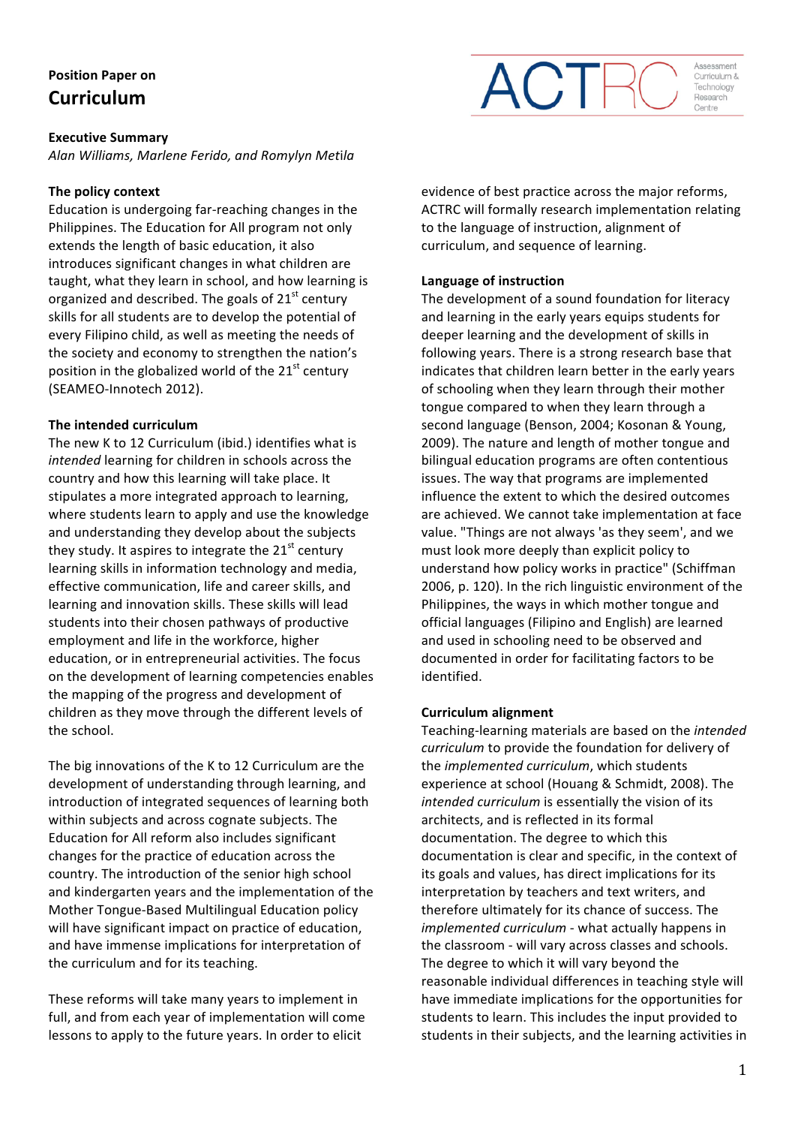# **Position Paper on Curriculum**

## **Executive Summary**

*Alan Williams, Marlene Ferido, and Romylyn Met*i*la*

## **The policy context**

Education is undergoing far-reaching changes in the Philippines. The Education for All program not only extends the length of basic education, it also introduces significant changes in what children are taught, what they learn in school, and how learning is organized and described. The goals of  $21<sup>st</sup>$  century skills for all students are to develop the potential of every Filipino child, as well as meeting the needs of the society and economy to strengthen the nation's position in the globalized world of the  $21<sup>st</sup>$  century (SEAMEO-Innotech 2012).

## **The intended curriculum**

The new K to 12 Curriculum (ibid.) identifies what is intended learning for children in schools across the country and how this learning will take place. It stipulates a more integrated approach to learning, where students learn to apply and use the knowledge and understanding they develop about the subjects they study. It aspires to integrate the  $21<sup>st</sup>$  century learning skills in information technology and media, effective communication, life and career skills, and learning and innovation skills. These skills will lead students into their chosen pathways of productive employment and life in the workforce, higher education, or in entrepreneurial activities. The focus on the development of learning competencies enables the mapping of the progress and development of children as they move through the different levels of the school.

The big innovations of the K to 12 Curriculum are the development of understanding through learning, and introduction of integrated sequences of learning both within subjects and across cognate subjects. The Education for All reform also includes significant changes for the practice of education across the country. The introduction of the senior high school and kindergarten years and the implementation of the Mother Tongue-Based Multilingual Education policy will have significant impact on practice of education, and have immense implications for interpretation of the curriculum and for its teaching.

These reforms will take many years to implement in full, and from each year of implementation will come lessons to apply to the future years. In order to elicit

evidence of best practice across the major reforms, ACTRC will formally research implementation relating to the language of instruction, alignment of curriculum, and sequence of learning.

# Language of instruction

The development of a sound foundation for literacy and learning in the early years equips students for deeper learning and the development of skills in following years. There is a strong research base that indicates that children learn better in the early years of schooling when they learn through their mother tongue compared to when they learn through a second language (Benson, 2004; Kosonan & Young, 2009). The nature and length of mother tongue and bilingual education programs are often contentious issues. The way that programs are implemented influence the extent to which the desired outcomes are achieved. We cannot take implementation at face value. "Things are not always 'as they seem', and we must look more deeply than explicit policy to understand how policy works in practice" (Schiffman 2006, p. 120). In the rich linguistic environment of the Philippines, the ways in which mother tongue and official languages (Filipino and English) are learned and used in schooling need to be observed and documented in order for facilitating factors to be identified.

#### **Curriculum alignment**

Teaching-learning materials are based on the *intended* curriculum to provide the foundation for delivery of the *implemented curriculum*, which students experience at school (Houang & Schmidt, 2008). The *intended curriculum* is essentially the vision of its architects, and is reflected in its formal documentation. The degree to which this documentation is clear and specific, in the context of its goals and values, has direct implications for its interpretation by teachers and text writers, and therefore ultimately for its chance of success. The *implemented curriculum* - what actually happens in the classroom - will vary across classes and schools. The degree to which it will vary beyond the reasonable individual differences in teaching style will have immediate implications for the opportunities for students to learn. This includes the input provided to students in their subjects, and the learning activities in